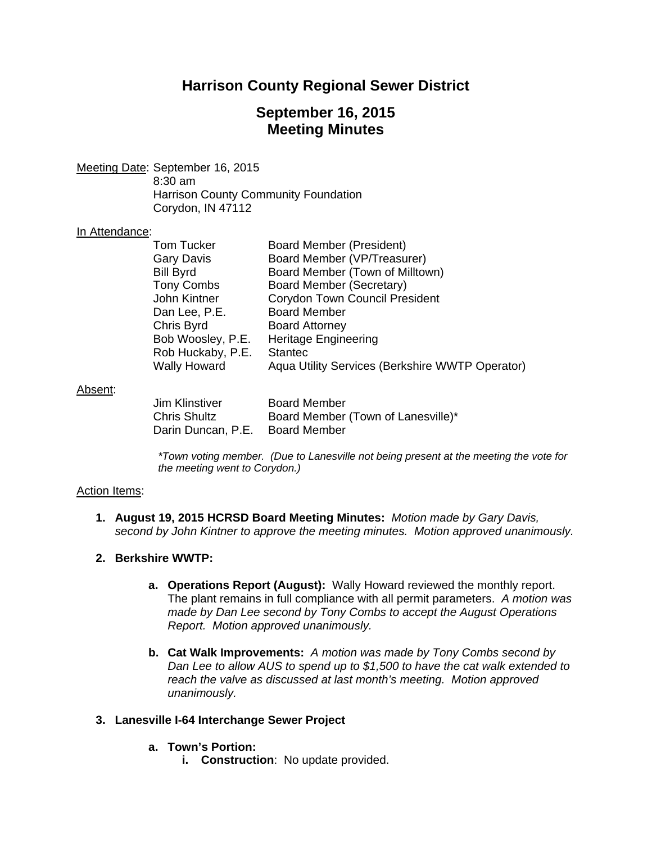## **Harrison County Regional Sewer District**

## **September 16, 2015 Meeting Minutes**

Meeting Date: September 16, 2015 8:30 am Harrison County Community Foundation Corydon, IN 47112

#### In Attendance:

| Tom Tucker          | <b>Board Member (President)</b>                 |
|---------------------|-------------------------------------------------|
| <b>Gary Davis</b>   | Board Member (VP/Treasurer)                     |
| <b>Bill Byrd</b>    | Board Member (Town of Milltown)                 |
| <b>Tony Combs</b>   | Board Member (Secretary)                        |
| John Kintner        | <b>Corydon Town Council President</b>           |
| Dan Lee, P.E.       | <b>Board Member</b>                             |
| Chris Byrd          | <b>Board Attorney</b>                           |
| Bob Woosley, P.E.   | <b>Heritage Engineering</b>                     |
| Rob Huckaby, P.E.   | <b>Stantec</b>                                  |
| <b>Wally Howard</b> | Aqua Utility Services (Berkshire WWTP Operator) |
|                     |                                                 |

#### Absent:

| Jim Klinstiver                  | <b>Board Member</b>                |
|---------------------------------|------------------------------------|
| Chris Shultz                    | Board Member (Town of Lanesville)* |
| Darin Duncan, P.E. Board Member |                                    |

*\*Town voting member. (Due to Lanesville not being present at the meeting the vote for the meeting went to Corydon.)* 

#### Action Items:

- **1. August 19, 2015 HCRSD Board Meeting Minutes:** *Motion made by Gary Davis, second by John Kintner to approve the meeting minutes. Motion approved unanimously.*
- **2. Berkshire WWTP:**
	- **a. Operations Report (August):** Wally Howard reviewed the monthly report. The plant remains in full compliance with all permit parameters. *A motion was made by Dan Lee second by Tony Combs to accept the August Operations Report. Motion approved unanimously.*
	- **b. Cat Walk Improvements:** *A motion was made by Tony Combs second by Dan Lee to allow AUS to spend up to \$1,500 to have the cat walk extended to reach the valve as discussed at last month's meeting. Motion approved unanimously.*

#### **3. Lanesville I-64 Interchange Sewer Project**

- **a. Town's Portion:**
	- **i. Construction**: No update provided.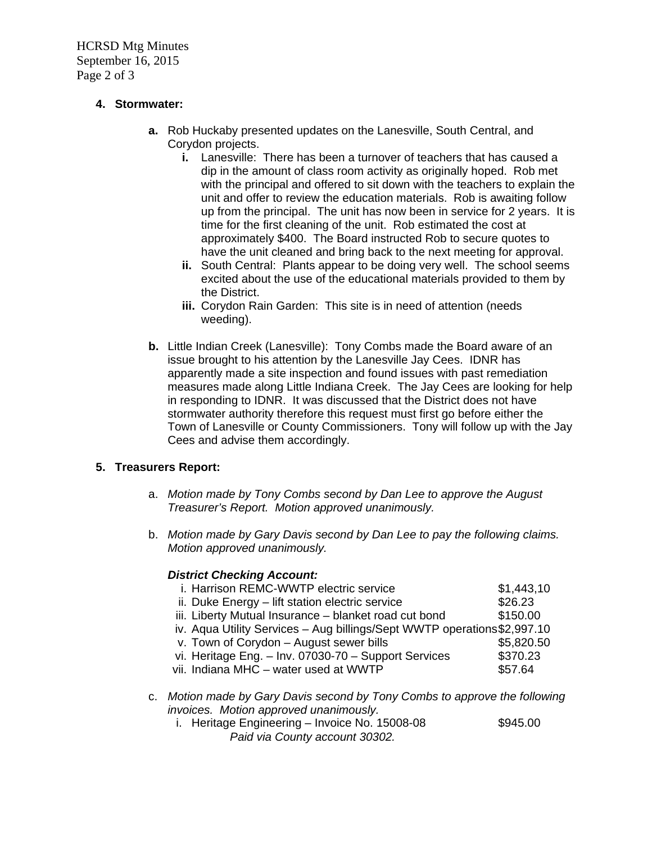HCRSD Mtg Minutes September 16, 2015 Page 2 of 3

## **4. Stormwater:**

- **a.** Rob Huckaby presented updates on the Lanesville, South Central, and Corydon projects.
	- **i.** Lanesville: There has been a turnover of teachers that has caused a dip in the amount of class room activity as originally hoped. Rob met with the principal and offered to sit down with the teachers to explain the unit and offer to review the education materials. Rob is awaiting follow up from the principal. The unit has now been in service for 2 years. It is time for the first cleaning of the unit. Rob estimated the cost at approximately \$400. The Board instructed Rob to secure quotes to have the unit cleaned and bring back to the next meeting for approval.
	- **ii.** South Central: Plants appear to be doing very well. The school seems excited about the use of the educational materials provided to them by the District.
	- **iii.** Corydon Rain Garden: This site is in need of attention (needs weeding).
- **b.** Little Indian Creek (Lanesville): Tony Combs made the Board aware of an issue brought to his attention by the Lanesville Jay Cees. IDNR has apparently made a site inspection and found issues with past remediation measures made along Little Indiana Creek. The Jay Cees are looking for help in responding to IDNR. It was discussed that the District does not have stormwater authority therefore this request must first go before either the Town of Lanesville or County Commissioners. Tony will follow up with the Jay Cees and advise them accordingly.

## **5. Treasurers Report:**

- a. *Motion made by Tony Combs second by Dan Lee to approve the August Treasurer's Report. Motion approved unanimously.*
- b. *Motion made by Gary Davis second by Dan Lee to pay the following claims. Motion approved unanimously.*

## *District Checking Account:*

| i. Harrison REMC-WWTP electric service                                                                               | \$1,443,10 |  |  |  |
|----------------------------------------------------------------------------------------------------------------------|------------|--|--|--|
| ii. Duke Energy - lift station electric service                                                                      | \$26.23    |  |  |  |
| iii. Liberty Mutual Insurance - blanket road cut bond                                                                | \$150.00   |  |  |  |
| iv. Aqua Utility Services - Aug billings/Sept WWTP operations\$2,997.10                                              |            |  |  |  |
| v. Town of Corydon - August sewer bills                                                                              | \$5,820.50 |  |  |  |
| vi. Heritage Eng. - Inv. 07030-70 - Support Services                                                                 | \$370.23   |  |  |  |
| vii. Indiana MHC - water used at WWTP                                                                                | \$57.64    |  |  |  |
| c. Motion made by Gary Davis second by Tony Combs to approve the following<br>invoices. Motion approved unanimously. |            |  |  |  |

i. Heritage Engineering – Invoice No.  $15008-08$  \$945.00  *Paid via County account 30302.*